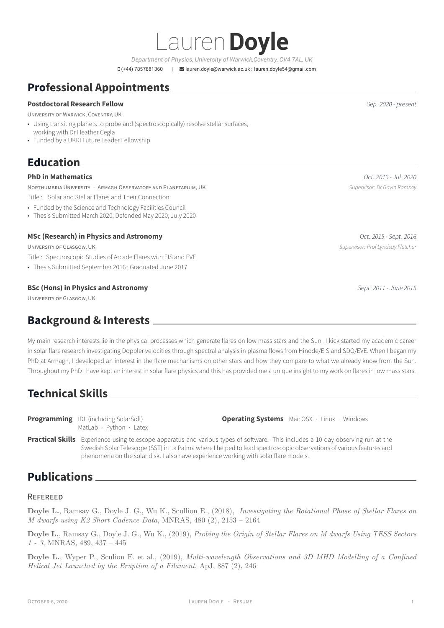*Department of Physics, University of Warwick,Coventry, CV4 7AL, UK* (+44) 7857881360 | [lauren.doyle@warwick.ac.uk : lauren.doyle54@gmail.com](mailto:lauren.doyle@warwick.ac.uk : lauren.doyle54@gmail.com)

Lauren**Doyle**

# **Professional Appointments**

#### **Postdoctoral Research Fellow** *Sep. 2020 - present*

UNIVERSITY OF WARWICK, COVENTRY, UK

- Using transiting planets to probe and (spectroscopically) resolve stellar surfaces,
- working with Dr Heather Cegla
- Funded by a UKRI Future Leader Fellowship

# **Education**

#### **PhD in Mathematics** *Oct. 2016 - Jul. 2020*

NORTHUMBRIA UNIVERSITY · ARMAGH OBSERVATORY AND PLANETARIUM, UK *Supervisor: Dr Gavin Ramsay*

- Title : Solar and Stellar Flares and Their Connection
- Funded by the Science and Technology Facilities Council
- Thesis Submitted March 2020; Defended May 2020; July 2020

#### **MSc (Research) in Physics and Astronomy** *Oct. 2015 - Sept. 2016*

UNIVERSITY OF GLASGOW, UK *Supervisor: Prof Lyndsay Fletcher*

- Title : Spectroscopic Studies of Arcade Flares with EIS and EVE
- Thesis Submitted September 2016 ; Graduated June 2017

#### **BSc (Hons) in Physics and Astronomy** *Sept. 2011 - June 2015*

UNIVERSITY OF GLASGOW, UK

## **Background & Interests**

My main research interests lie in the physical processes which generate flares on low mass stars and the Sun. I kick started my academic career in solar flare research investigating Doppler velocities through spectral analysis in plasma flows from Hinode/EIS and SDO/EVE. When I began my PhD at Armagh, I developed an interest in the flare mechanisms on other stars and how they compare to what we already know from the Sun. Throughout my PhD I have kept an interest in solar flare physics and this has provided me a unique insight to my work on flares in low mass stars.

## **Technical Skills**

**Programming** IDL (including SolarSoft) MatLab · Python · Latex **Operating Systems** Mac OSX · Linux · Windows

**Practical Skills** Experience using telescope apparatus and various types of software. This includes a 10 day observing run at the Swedish Solar Telescope (SST) in La Palma where I helped to lead spectroscopic observations of various features and phenomena on the solar disk. I also have experience working with solar flare models.

## **Publications**

#### REFEREED

**Doyle L.**, Ramsay G., Doyle J. G., Wu K., Scullion E., (2018), *Investigating the Rotational Phase of Stellar Flares on M dwarfs using K2 Short Cadence Data*, MNRAS, 480 (2), 2153 – 2164

**Doyle L.**, Ramsay G., Doyle J. G., Wu K., (2019), *Probing the Origin of Stellar Flares on M dwarfs Using TESS Sectors 1 - 3*, MNRAS, 489, 437 – 445

**Doyle L.**, Wyper P., Sculion E. et al., (2019), *Multi-wavelength Observations and 3D MHD Modelling of a Confined Helical Jet Launched by the Eruption of a Filament*, ApJ, 887 (2), 246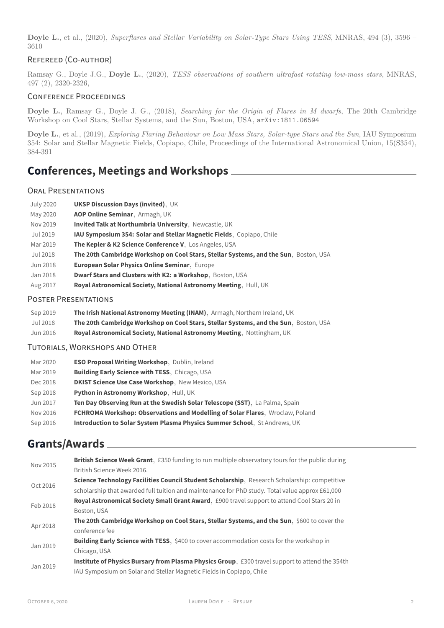**Doyle L.**, et al., (2020), *Superflares and Stellar Variability on Solar-Type Stars Using TESS*, MNRAS, 494 (3), 3596 – 3610

#### REFEREED (CO-AUTHOR)

Ramsay G., Doyle J.G., **Doyle L.**, (2020), *TESS observations of southern ultrafast rotating low-mass stars*, MNRAS, 497 (2), 2320-2326,

#### CONFERENCE PROCEEDINGS

**Doyle L.**, Ramsay G., Doyle J. G., (2018), *Searching for the Origin of Flares in M dwarfs*, The 20th Cambridge Workshop on Cool Stars, Stellar Systems, and the Sun, Boston, USA, <arXiv:1811.06594>

**Doyle L.**, et al., (2019), *Exploring Flaring Behaviour on Low Mass Stars, Solar-type Stars and the Sun*, IAU Symposium 354: Solar and Stellar Magnetic Fields, Copiapo, Chile, Proceedings of the International Astronomical Union, 15(S354), 384-391

### **Conferences, Meetings and Workshops**

#### ORAL PRESENTATIONS

| July 2020 | <b>UKSP Discussion Days (invited), UK</b>                                            |
|-----------|--------------------------------------------------------------------------------------|
| May 2020  | AOP Online Seminar, Armagh, UK                                                       |
| Nov 2019  | <b>Invited Talk at Northumbria University</b> , Newcastle, UK                        |
| Jul 2019  | <b>IAU Symposium 354: Solar and Stellar Magnetic Fields.</b> Copiapo, Chile          |
| Mar 2019  | The Kepler & K2 Science Conference V. Los Angeles, USA                               |
| Jul 2018  | The 20th Cambridge Workshop on Cool Stars, Stellar Systems, and the Sun, Boston, USA |
| Jun 2018  | <b>European Solar Physics Online Seminar, Europe</b>                                 |
| Jan 2018  | Dwarf Stars and Clusters with K2: a Workshop, Boston, USA                            |
| Aug 2017  | Royal Astronomical Society, National Astronomy Meeting, Hull, UK                     |

#### POSTER PRESENTATIONS

| Sep 2019 | The Irish National Astronomy Meeting (INAM), Armagh, Northern Ireland, UK            |
|----------|--------------------------------------------------------------------------------------|
| Jul 2018 | The 20th Cambridge Workshop on Cool Stars, Stellar Systems, and the Sun, Boston, USA |
| Jun 2016 | Royal Astronomical Society, National Astronomy Meeting, Nottingham, UK               |

TUTORIALS, WORKSHOPS AND OTHER

| Mar 2020 | <b>ESO Proposal Writing Workshop</b> , Dublin, Ireland                        |
|----------|-------------------------------------------------------------------------------|
| Mar 2019 | Building Early Science with TESS, Chicago, USA                                |
| Dec 2018 | <b>DKIST Science Use Case Workshop.</b> New Mexico, USA                       |
| Sep 2018 | Python in Astronomy Workshop, Hull, UK                                        |
| Jun 2017 | Ten Day Observing Run at the Swedish Solar Telescope (SST), La Palma, Spain   |
| Nov 2016 | FCHROMA Workshop: Observations and Modelling of Solar Flares, Wroclaw, Poland |
| Sep 2016 | Introduction to Solar System Plasma Physics Summer School, St Andrews, UK     |

### **Grants/Awards**

| Nov 2015 | <b>British Science Week Grant.</b> £350 funding to run multiple observatory tours for the public during |
|----------|---------------------------------------------------------------------------------------------------------|
|          | British Science Week 2016.                                                                              |
| Oct 2016 | Science Technology Facilities Council Student Scholarship, Research Scholarship: competitive            |
|          | scholarship that awarded full tuition and maintenance for PhD study. Total value approx £61,000         |
| Feb 2018 | Royal Astronomical Society Small Grant Award, £900 travel support to attend Cool Stars 20 in            |
|          | Boston, USA                                                                                             |
|          | The 20th Cambridge Workshop on Cool Stars, Stellar Systems, and the Sun, \$600 to cover the             |
| Apr 2018 | conference fee                                                                                          |
| Jan 2019 | <b>Building Early Science with TESS.</b> \$400 to cover accommodation costs for the workshop in         |
|          | Chicago, USA                                                                                            |
| Jan 2019 | Institute of Physics Bursary from Plasma Physics Group, £300 travel support to attend the 354th         |
|          | IAU Symposium on Solar and Stellar Magnetic Fields in Copiapo, Chile                                    |